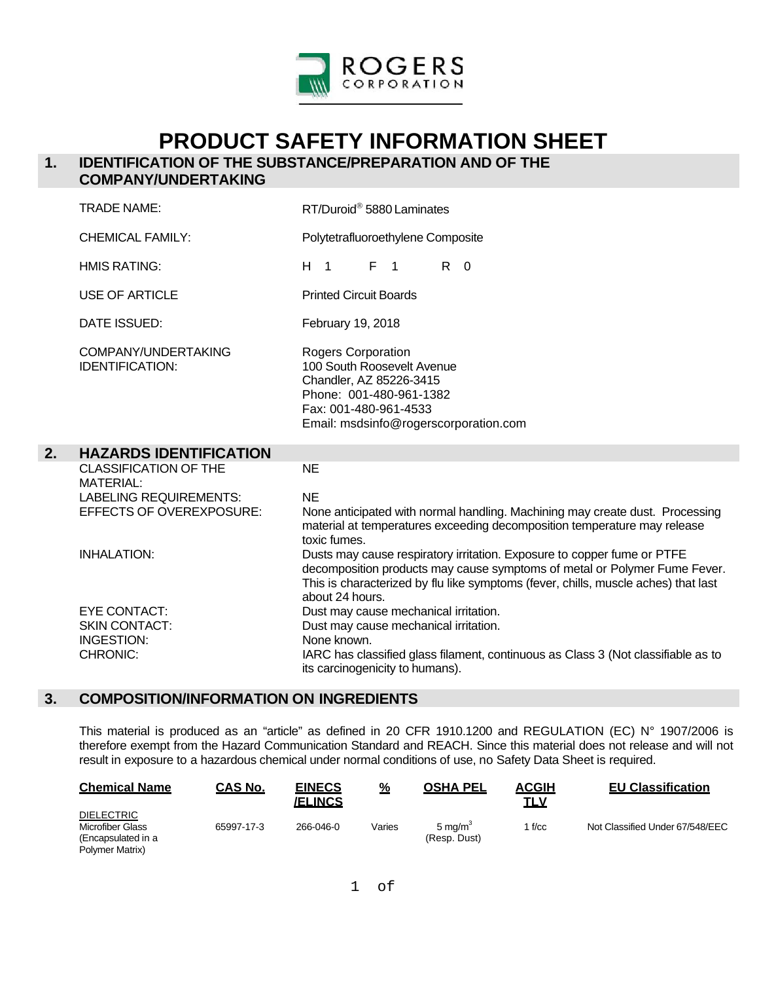

# **PRODUCT SAFETY INFORMATION SHEET**

# **1. IDENTIFICATION OF THE SUBSTANCE/PREPARATION AND OF THE**

# **COMPANY/UNDERTAKING**

|    | <b>TRADE NAME:</b>                                                                                                   | RT/Duroid® 5880 Laminates                                                                                                                                                                                                                                                     |  |  |  |
|----|----------------------------------------------------------------------------------------------------------------------|-------------------------------------------------------------------------------------------------------------------------------------------------------------------------------------------------------------------------------------------------------------------------------|--|--|--|
|    | <b>CHEMICAL FAMILY:</b>                                                                                              | Polytetrafluoroethylene Composite                                                                                                                                                                                                                                             |  |  |  |
|    | <b>HMIS RATING:</b>                                                                                                  | $F \neq 1$<br>$R \quad 0$<br>H <sub>1</sub>                                                                                                                                                                                                                                   |  |  |  |
|    | USE OF ARTICLE                                                                                                       | <b>Printed Circuit Boards</b>                                                                                                                                                                                                                                                 |  |  |  |
|    | DATE ISSUED:                                                                                                         | February 19, 2018                                                                                                                                                                                                                                                             |  |  |  |
|    | COMPANY/UNDERTAKING<br><b>IDENTIFICATION:</b>                                                                        | <b>Rogers Corporation</b><br>100 South Roosevelt Avenue<br>Chandler, AZ 85226-3415<br>Phone: 001-480-961-1382<br>Fax: 001-480-961-4533<br>Email: msdsinfo@rogerscorporation.com                                                                                               |  |  |  |
|    |                                                                                                                      |                                                                                                                                                                                                                                                                               |  |  |  |
| 2. | <b>HAZARDS IDENTIFICATION</b>                                                                                        |                                                                                                                                                                                                                                                                               |  |  |  |
|    | <b>CLASSIFICATION OF THE</b><br><b>MATERIAL:</b><br><b>LABELING REQUIREMENTS:</b><br><b>EFFECTS OF OVEREXPOSURE:</b> | <b>NE</b><br><b>NE</b><br>None anticipated with normal handling. Machining may create dust. Processing<br>material at temperatures exceeding decomposition temperature may release                                                                                            |  |  |  |
|    | <b>INHALATION:</b>                                                                                                   | toxic fumes.<br>Dusts may cause respiratory irritation. Exposure to copper fume or PTFE<br>decomposition products may cause symptoms of metal or Polymer Fume Fever.<br>This is characterized by flu like symptoms (fever, chills, muscle aches) that last<br>about 24 hours. |  |  |  |

#### **3. COMPOSITION/INFORMATION ON INGREDIENTS**

This material is produced as an "article" as defined in 20 CFR 1910.1200 and REGULATION (EC) N° 1907/2006 is therefore exempt from the Hazard Communication Standard and REACH. Since this material does not release and will not result in exposure to a hazardous chemical under normal conditions of use, no Safety Data Sheet is required.

| <b>Chemical Name</b>                                                                  | <b>CAS No.</b> | <b>EINECS</b><br><b>/ELINCS</b> | %      | <b>OSHA PEL</b>                    | <b>ACGIH</b><br>TLV | <b>EU Classification</b>        |
|---------------------------------------------------------------------------------------|----------------|---------------------------------|--------|------------------------------------|---------------------|---------------------------------|
| <b>DIELECTRIC</b><br><b>Microfiber Glass</b><br>(Encapsulated in a<br>Polymer Matrix) | 65997-17-3     | 266-046-0                       | Varies | $5 \text{ ma/m}^3$<br>(Resp. Dust) | l f/cc              | Not Classified Under 67/548/EEC |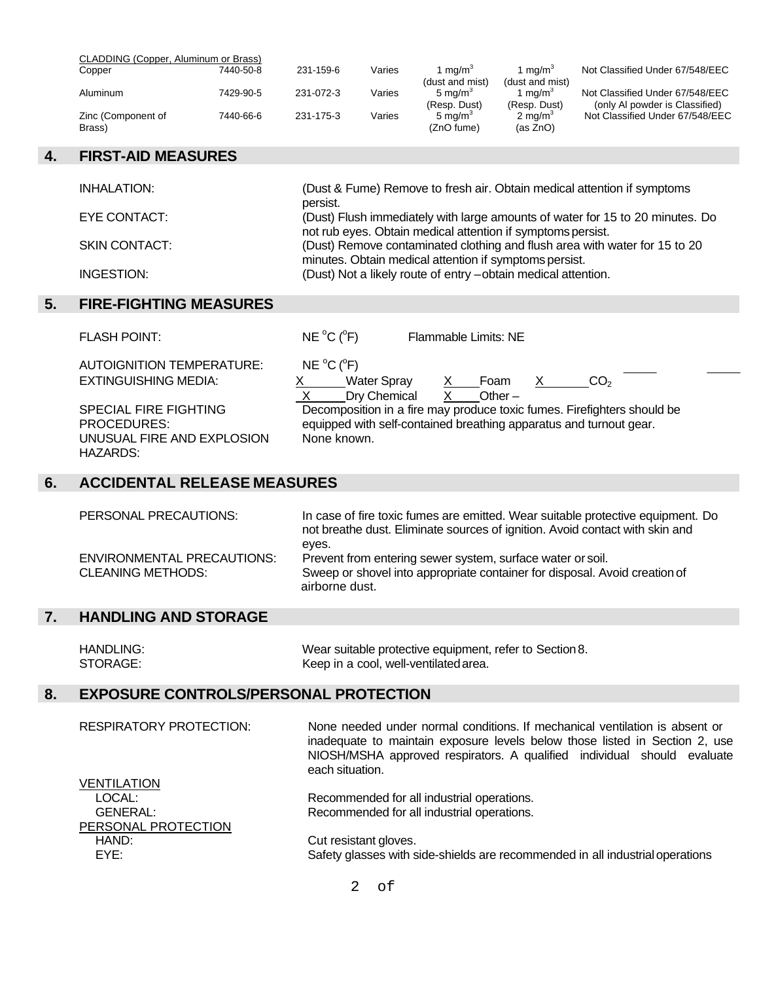| CLADDING (Copper, Aluminum or Brass) |           |           |        |                     |                     |                                 |
|--------------------------------------|-----------|-----------|--------|---------------------|---------------------|---------------------------------|
| Copper                               | 7440-50-8 | 231-159-6 | Varies | 1 ma/m <sup>3</sup> | 1 ma/m $^{\circ}$   | Not Classified Under 67/548/EEC |
|                                      |           |           |        | (dust and mist)     | (dust and mist)     |                                 |
| Aluminum                             | 7429-90-5 | 231-072-3 | Varies | 5 ma/m <sup>3</sup> | 1 ma/m <sup>3</sup> | Not Classified Under 67/548/EEC |
|                                      |           |           |        | (Resp. Dust)        | (Resp. Dust)        | (only AI powder is Classified)  |
| Zinc (Component of                   | 7440-66-6 | 231-175-3 | Varies | $5 \text{ ma/m}^3$  | $2 \text{ ma/m}^3$  | Not Classified Under 67/548/EEC |
| Brass)                               |           |           |        | (ZnO fume)          | (as ZnO)            |                                 |

### **4. FIRST-AID MEASURES**

| INHALATION:          | (Dust & Fume) Remove to fresh air. Obtain medical attention if symptoms<br>persist.                                                          |
|----------------------|----------------------------------------------------------------------------------------------------------------------------------------------|
| EYE CONTACT:         | (Dust) Flush immediately with large amounts of water for 15 to 20 minutes. Do<br>not rub eyes. Obtain medical attention if symptoms persist. |
| <b>SKIN CONTACT:</b> | (Dust) Remove contaminated clothing and flush area with water for 15 to 20<br>minutes. Obtain medical attention if symptoms persist.         |
| INGESTION:           | (Dust) Not a likely route of entry -obtain medical attention.                                                                                |

# **5. FIRE-FIGHTING MEASURES**

| <b>FLASH POINT:</b>                                                                          | $NE ^{o}C(^{o}F)$<br>Flammable Limits: NE                                                                                                                    |
|----------------------------------------------------------------------------------------------|--------------------------------------------------------------------------------------------------------------------------------------------------------------|
| <b>AUTOIGNITION TEMPERATURE:</b>                                                             | NE $^{\circ}$ C ( $^{\circ}$ F)                                                                                                                              |
| EXTINGUISHING MEDIA:                                                                         | <b>Water Spray</b><br>CO <sub>2</sub><br>Foam<br>$\mathsf{X}$<br>X.<br>Dry Chemical<br>Other $-$                                                             |
| <b>SPECIAL FIRE FIGHTING</b><br>PROCEDURES:<br>UNUSUAL FIRE AND EXPLOSION<br><b>HAZARDS:</b> | Decomposition in a fire may produce toxic fumes. Firefighters should be<br>equipped with self-contained breathing apparatus and turnout gear.<br>None known. |

## **6. ACCIDENTAL RELEASE MEASURES**

| PERSONAL PRECAUTIONS:                                         | In case of fire toxic fumes are emitted. Wear suitable protective equipment. Do<br>not breathe dust. Eliminate sources of ignition. Avoid contact with skin and     |
|---------------------------------------------------------------|---------------------------------------------------------------------------------------------------------------------------------------------------------------------|
| <b>ENVIRONMENTAL PRECAUTIONS:</b><br><b>CLEANING METHODS:</b> | eves.<br>Prevent from entering sewer system, surface water or soil.<br>Sweep or shovel into appropriate container for disposal. Avoid creation of<br>airborne dust. |

# **7. HANDLING AND STORAGE**

| HANDLING: | Wear suitable protective equipment, refer to Section 8. |
|-----------|---------------------------------------------------------|
| STORAGE:  | Keep in a cool, well-ventilated area.                   |

# **8. EXPOSURE CONTROLS/PERSONAL PROTECTION**

| <b>RESPIRATORY PROTECTION:</b> | None needed under normal conditions. If mechanical ventilation is absent or<br>inadequate to maintain exposure levels below those listed in Section 2, use<br>NIOSH/MSHA approved respirators. A qualified individual should evaluate<br>each situation. |
|--------------------------------|----------------------------------------------------------------------------------------------------------------------------------------------------------------------------------------------------------------------------------------------------------|
| <b>VENTILATION</b>             |                                                                                                                                                                                                                                                          |
| LOCAL:                         | Recommended for all industrial operations.                                                                                                                                                                                                               |
| <b>GENERAL:</b>                | Recommended for all industrial operations.                                                                                                                                                                                                               |
| PERSONAL PROTECTION            |                                                                                                                                                                                                                                                          |
| HAND:                          | Cut resistant gloves.                                                                                                                                                                                                                                    |
| EYE:                           | Safety glasses with side-shields are recommended in all industrial operations                                                                                                                                                                            |

2 of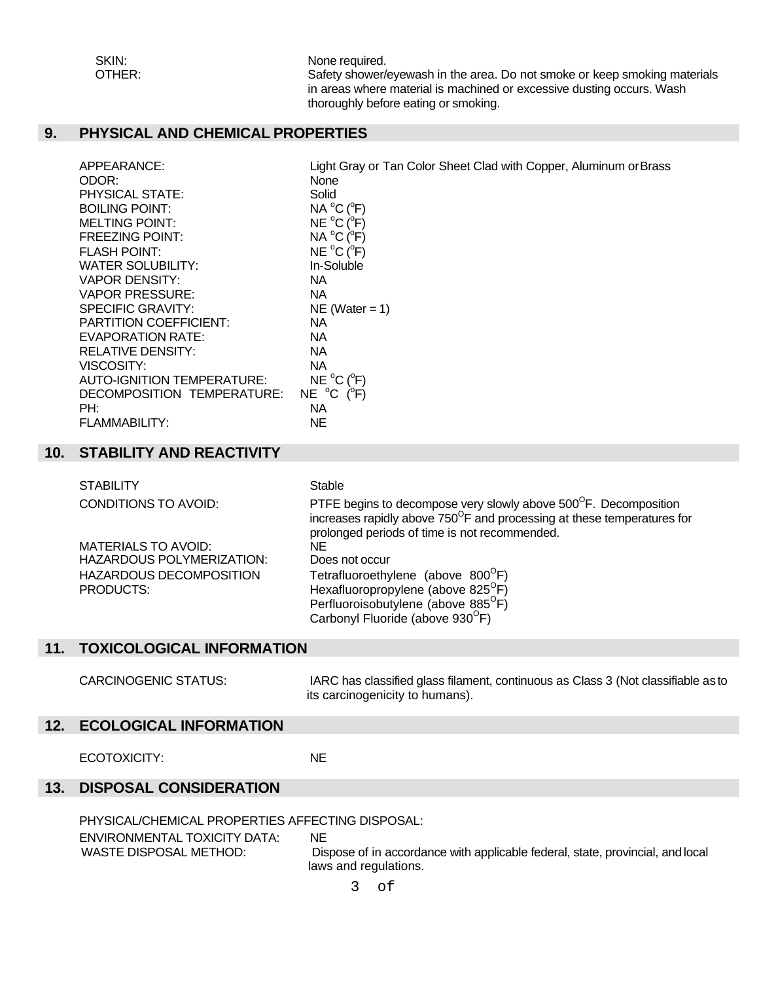SKIN: None required.

OTHER: Safety shower/eyewash in the area. Do not smoke or keep smoking materials in areas where material is machined or excessive dusting occurs. Wash thoroughly before eating or smoking.

Tan Color Sheet Clad with Copper, Aluminum or Brass

## **9. PHYSICAL AND CHEMICAL PROPERTIES**

| APPEARANCE:                   | Light Gray or Ta                |
|-------------------------------|---------------------------------|
| ODOR:                         | None                            |
| <b>PHYSICAL STATE:</b>        | Solid                           |
| <b>BOILING POINT:</b>         | $NA^oC(^oF)$                    |
| <b>MELTING POINT:</b>         | NE °C (°F)                      |
| <b>FREEZING POINT:</b>        | $NA^oC(^oF)$                    |
| <b>FLASH POINT:</b>           | NE °C (°F)                      |
| <b>WATER SOLUBILITY:</b>      | In-Soluble                      |
| <b>VAPOR DENSITY:</b>         | ΝA                              |
| <b>VAPOR PRESSURE:</b>        | ΝA                              |
| <b>SPECIFIC GRAVITY:</b>      | $NE (Water = 1)$                |
| <b>PARTITION COEFFICIENT:</b> | NA.                             |
| <b>EVAPORATION RATE:</b>      | NA.                             |
| <b>RELATIVE DENSITY:</b>      | ΝA                              |
| VISCOSITY:                    | ΝA                              |
| AUTO-IGNITION TEMPERATURE:    | NE °C (°F)                      |
| DECOMPOSITION TEMPERATURE:    | NE $^{\circ}$ C ( $^{\circ}$ F) |
| PH:                           | ΝA                              |
| FLAMMABILITY:                 | NE                              |
|                               |                                 |

#### **10. STABILITY AND REACTIVITY**

| <b>STABILITY</b>                 | Stable                                                                                                                                                 |
|----------------------------------|--------------------------------------------------------------------------------------------------------------------------------------------------------|
| <b>CONDITIONS TO AVOID:</b>      | PTFE begins to decompose very slowly above 500°F. Decomposition<br>increases rapidly above 750 <sup>°</sup> F and processing at these temperatures for |
|                                  | prolonged periods of time is not recommended.                                                                                                          |
| <b>MATERIALS TO AVOID:</b>       | NF.                                                                                                                                                    |
| <b>HAZARDOUS POLYMERIZATION:</b> | Does not occur                                                                                                                                         |
| <b>HAZARDOUS DECOMPOSITION</b>   | Tetrafluoroethylene (above 800 <sup>°</sup> F)                                                                                                         |
| PRODUCTS:                        | Hexafluoropropylene (above 825 <sup>°</sup> F)                                                                                                         |
|                                  | Perfluoroisobutylene (above 885 <sup>°</sup> F)                                                                                                        |
|                                  | Carbonyl Fluoride (above 930 <sup>°</sup> F)                                                                                                           |

#### **11. TOXICOLOGICAL INFORMATION**

CARCINOGENIC STATUS: IARC has classified glass filament, continuous as Class 3 (Not classifiable as to its carcinogenicity to humans).

#### **12. ECOLOGICAL INFORMATION**

ECOTOXICITY: NE

### **13. DISPOSAL CONSIDERATION**

PHYSICAL/CHEMICAL PROPERTIES AFFECTING DISPOSAL:

ENVIRONMENTAL TOXICITY DATA: NE

WASTE DISPOSAL METHOD: Dispose of in accordance with applicable federal, state, provincial, and local laws and regulations.